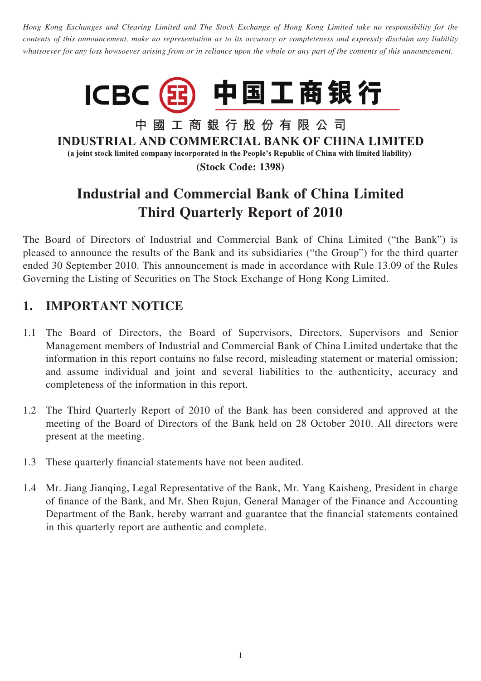*Hong Kong Exchanges and Clearing Limited and The Stock Exchange of Hong Kong Limited take no responsibility for the contents of this announcement, make no representation as to its accuracy or completeness and expressly disclaim any liability whatsoever for any loss howsoever arising from or in reliance upon the whole or any part of the contents of this announcement.*



中國工商銀行股份有限公司 **INDUSTRIAL AND COMMERCIAL BANK OF CHINA LIMITED** (a joint stock limited company incorporated in the People's Republic of China with limited liability) **(Stock Code: 1398)**

# **Industrial and Commercial Bank of China Limited Third Quarterly Report of 2010**

The Board of Directors of Industrial and Commercial Bank of China Limited ("the Bank") is pleased to announce the results of the Bank and its subsidiaries ("the Group") for the third quarter ended 30 September 2010. This announcement is made in accordance with Rule 13.09 of the Rules Governing the Listing of Securities on The Stock Exchange of Hong Kong Limited.

### **1. IMPORTANT NOTICE**

- 1.1 The Board of Directors, the Board of Supervisors, Directors, Supervisors and Senior Management members of Industrial and Commercial Bank of China Limited undertake that the information in this report contains no false record, misleading statement or material omission; and assume individual and joint and several liabilities to the authenticity, accuracy and completeness of the information in this report.
- 1.2 The Third Quarterly Report of 2010 of the Bank has been considered and approved at the meeting of the Board of Directors of the Bank held on 28 October 2010. All directors were present at the meeting.
- 1.3 These quarterly financial statements have not been audited.
- 1.4 Mr. Jiang Jianqing, Legal Representative of the Bank, Mr. Yang Kaisheng, President in charge of finance of the Bank, and Mr. Shen Rujun, General Manager of the Finance and Accounting Department of the Bank, hereby warrant and guarantee that the financial statements contained in this quarterly report are authentic and complete.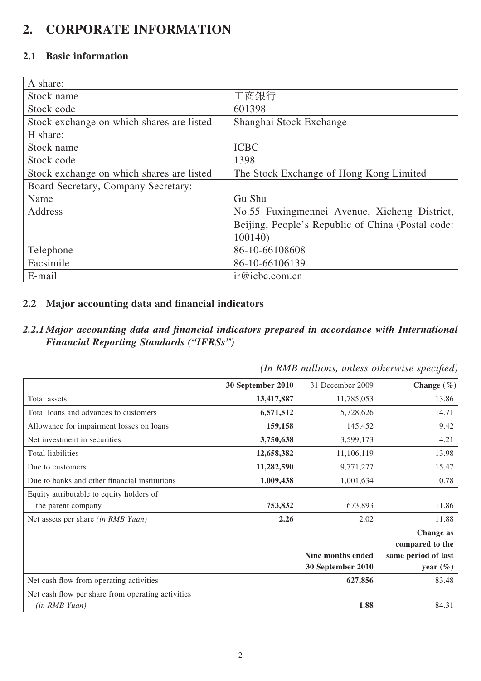## **2. CORPORATE INFORMATION**

#### **2.1 Basic information**

| A share:                                  |                                                   |
|-------------------------------------------|---------------------------------------------------|
| Stock name                                | 工商銀行                                              |
| Stock code                                | 601398                                            |
| Stock exchange on which shares are listed | Shanghai Stock Exchange                           |
| H share:                                  |                                                   |
| Stock name                                | <b>ICBC</b>                                       |
| Stock code                                | 1398                                              |
| Stock exchange on which shares are listed | The Stock Exchange of Hong Kong Limited           |
| Board Secretary, Company Secretary:       |                                                   |
| Name                                      | Gu Shu                                            |
| Address                                   | No.55 Fuxingmennei Avenue, Xicheng District,      |
|                                           | Beijing, People's Republic of China (Postal code: |
|                                           | 100140)                                           |
| Telephone                                 | 86-10-66108608                                    |
| Facsimile                                 | 86-10-66106139                                    |
| E-mail                                    | ir@icbc.com.cn                                    |

#### 2.2 Major accounting data and financial indicators

#### 2.2.1 Major accounting data and financial indicators prepared in accordance with International *Financial Reporting Standards ("IFRSs")*

|                                                   | 30 September 2010 | 31 December 2009  | Change $(\% )$      |
|---------------------------------------------------|-------------------|-------------------|---------------------|
| Total assets                                      | 13,417,887        | 11,785,053        | 13.86               |
| Total loans and advances to customers             | 6,571,512         | 5,728,626         | 14.71               |
| Allowance for impairment losses on loans          | 159,158           | 145,452           | 9.42                |
| Net investment in securities                      | 3,750,638         | 3,599,173         | 4.21                |
| Total liabilities                                 | 12,658,382        | 11,106,119        | 13.98               |
| Due to customers                                  | 11,282,590        | 9,771,277         | 15.47               |
| Due to banks and other financial institutions     | 1,009,438         | 1,001,634         | 0.78                |
| Equity attributable to equity holders of          |                   |                   |                     |
| the parent company                                | 753,832           | 673,893           | 11.86               |
| Net assets per share (in RMB Yuan)                | 2.26              | 2.02              | 11.88               |
|                                                   |                   |                   | <b>Change as</b>    |
|                                                   |                   |                   | compared to the     |
|                                                   |                   | Nine months ended | same period of last |
|                                                   |                   | 30 September 2010 | year $(\% )$        |
| Net cash flow from operating activities           |                   | 627,856           | 83.48               |
| Net cash flow per share from operating activities |                   |                   |                     |
| (in RMB Yuan)                                     |                   | 1.88              | 84.31               |

*(In RMB millions, unless otherwise specified)*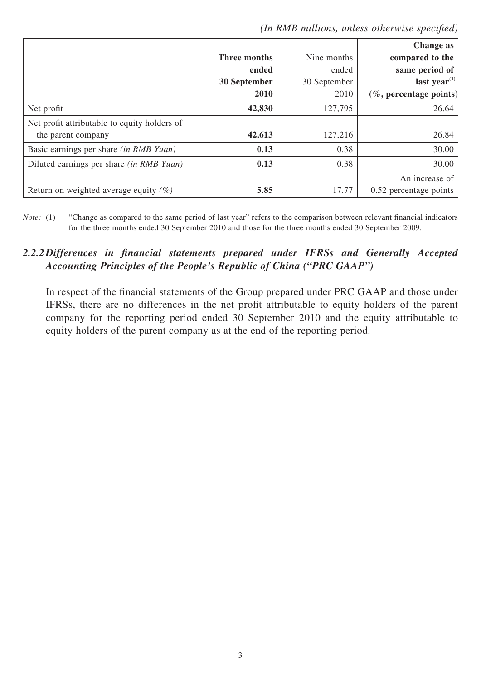|  |  |  | (In RMB millions, unless otherwise specified) |  |
|--|--|--|-----------------------------------------------|--|
|--|--|--|-----------------------------------------------|--|

|                                                 |              |              | <b>Change as</b>                      |
|-------------------------------------------------|--------------|--------------|---------------------------------------|
|                                                 | Three months | Nine months  | compared to the                       |
|                                                 | ended        | ended        | same period of                        |
|                                                 | 30 September | 30 September | last year <sup><math>(1)</math></sup> |
|                                                 | 2010         | 2010         | $(\%$ , percentage points)            |
| Net profit                                      | 42,830       | 127,795      | 26.64                                 |
| Net profit attributable to equity holders of    |              |              |                                       |
| the parent company                              | 42,613       | 127,216      | 26.84                                 |
| Basic earnings per share <i>(in RMB Yuan)</i>   | 0.13         | 0.38         | 30.00                                 |
| Diluted earnings per share <i>(in RMB Yuan)</i> | 0.13         | 0.38         | 30.00                                 |
|                                                 |              |              | An increase of                        |
| Return on weighted average equity $(\% )$       | 5.85         | 17.77        | 0.52 percentage points                |

*Note:* (1) "Change as compared to the same period of last year" refers to the comparison between relevant financial indicators for the three months ended 30 September 2010 and those for the three months ended 30 September 2009.

#### 2.2.2 Differences in financial statements prepared under IFRSs and Generally Accepted *Accounting Principles of the People's Republic of China ("PRC GAAP")*

In respect of the financial statements of the Group prepared under PRC GAAP and those under IFRSs, there are no differences in the net profit attributable to equity holders of the parent company for the reporting period ended 30 September 2010 and the equity attributable to equity holders of the parent company as at the end of the reporting period.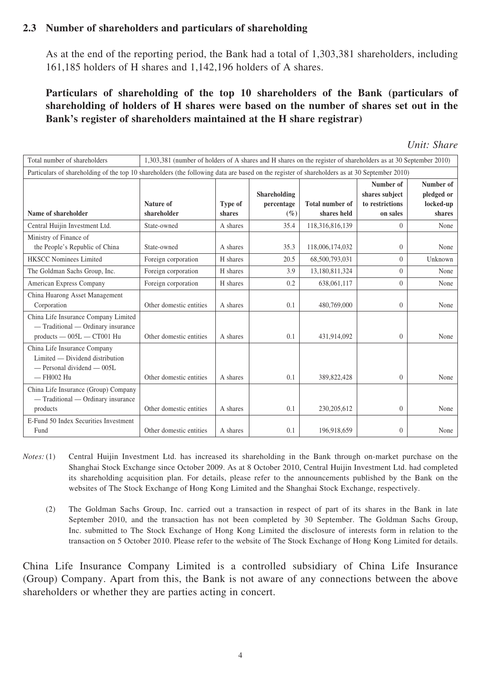#### **2.3 Number of shareholders and particulars of shareholding**

As at the end of the reporting period, the Bank had a total of 1,303,381 shareholders, including 161,185 holders of H shares and 1,142,196 holders of A shares.

**Particulars of shareholding of the top 10 shareholders of the Bank (particulars of shareholding of holders of H shares were based on the number of shares set out in the Bank's register of shareholders maintained at the H share registrar)**

| Total number of shareholders                                                                               | 1,303,381 (number of holders of A shares and H shares on the register of shareholders as at 30 September 2010)                                |                   |                                      |                                       |                                                            |                                                |
|------------------------------------------------------------------------------------------------------------|-----------------------------------------------------------------------------------------------------------------------------------------------|-------------------|--------------------------------------|---------------------------------------|------------------------------------------------------------|------------------------------------------------|
|                                                                                                            | Particulars of shareholding of the top 10 shareholders (the following data are based on the register of shareholders as at 30 September 2010) |                   |                                      |                                       |                                                            |                                                |
| Name of shareholder                                                                                        | Nature of<br>shareholder                                                                                                                      | Type of<br>shares | Shareholding<br>percentage<br>$(\%)$ | <b>Total number of</b><br>shares held | Number of<br>shares subject<br>to restrictions<br>on sales | Number of<br>pledged or<br>locked-up<br>shares |
| Central Huijin Investment Ltd.                                                                             | State-owned                                                                                                                                   | A shares          | 35.4                                 | 118,316,816,139                       | $\Omega$                                                   | None                                           |
| Ministry of Finance of<br>the People's Republic of China                                                   | State-owned                                                                                                                                   | A shares          | 35.3                                 | 118,006,174,032                       | $\Omega$                                                   | None                                           |
| <b>HKSCC Nominees Limited</b>                                                                              | Foreign corporation                                                                                                                           | H shares          | 20.5                                 | 68,500,793,031                        | $\Omega$                                                   | Unknown                                        |
| The Goldman Sachs Group, Inc.                                                                              | Foreign corporation                                                                                                                           | H shares          | 3.9                                  | 13,180,811,324                        | $\theta$                                                   | None                                           |
| American Express Company                                                                                   | Foreign corporation                                                                                                                           | H shares          | 0.2                                  | 638,061,117                           | $\theta$                                                   | None                                           |
| China Huarong Asset Management<br>Corporation                                                              | Other domestic entities                                                                                                                       | A shares          | 0.1                                  | 480,769,000                           | $\overline{0}$                                             | None                                           |
| China Life Insurance Company Limited<br>- Traditional - Ordinary insurance<br>$products = 005L = CTO01 Hu$ | Other domestic entities                                                                                                                       | A shares          | 0.1                                  | 431,914,092                           | $\Omega$                                                   | None                                           |
| China Life Insurance Company<br>Limited — Dividend distribution<br>$-$ Personal dividend $-$ 005L          |                                                                                                                                               |                   |                                      |                                       |                                                            |                                                |
| $-$ FH002 Hu                                                                                               | Other domestic entities                                                                                                                       | A shares          | 0.1                                  | 389,822,428                           | $\Omega$                                                   | None                                           |
| China Life Insurance (Group) Company<br>- Traditional - Ordinary insurance<br>products                     | Other domestic entities                                                                                                                       | A shares          | 0.1                                  | 230, 205, 612                         | $\Omega$                                                   | None                                           |
| E-Fund 50 Index Securities Investment<br>Fund                                                              | Other domestic entities                                                                                                                       | A shares          | 0.1                                  | 196,918,659                           | $\Omega$                                                   | None                                           |

- *Notes:* (1) Central Huijin Investment Ltd. has increased its shareholding in the Bank through on-market purchase on the Shanghai Stock Exchange since October 2009. As at 8 October 2010, Central Huijin Investment Ltd. had completed its shareholding acquisition plan. For details, please refer to the announcements published by the Bank on the websites of The Stock Exchange of Hong Kong Limited and the Shanghai Stock Exchange, respectively.
	- (2) The Goldman Sachs Group, Inc. carried out a transaction in respect of part of its shares in the Bank in late September 2010, and the transaction has not been completed by 30 September. The Goldman Sachs Group, Inc. submitted to The Stock Exchange of Hong Kong Limited the disclosure of interests form in relation to the transaction on 5 October 2010. Please refer to the website of The Stock Exchange of Hong Kong Limited for details.

China Life Insurance Company Limited is a controlled subsidiary of China Life Insurance (Group) Company. Apart from this, the Bank is not aware of any connections between the above shareholders or whether they are parties acting in concert.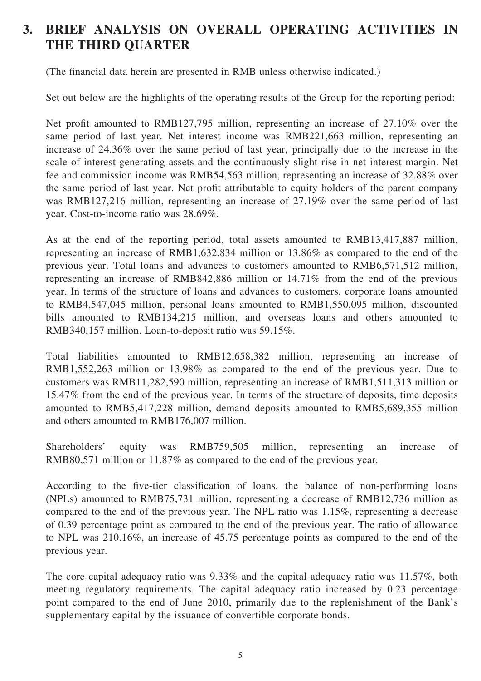### **3. BRIEF ANALYSIS ON OVERALL OPERATING ACTIVITIES IN THE THIRD QUARTER**

(The financial data herein are presented in RMB unless otherwise indicated.)

Set out below are the highlights of the operating results of the Group for the reporting period:

Net profit amounted to RMB127,795 million, representing an increase of 27.10% over the same period of last year. Net interest income was RMB221,663 million, representing an increase of 24.36% over the same period of last year, principally due to the increase in the scale of interest-generating assets and the continuously slight rise in net interest margin. Net fee and commission income was RMB54,563 million, representing an increase of 32.88% over the same period of last year. Net profit attributable to equity holders of the parent company was RMB127,216 million, representing an increase of 27.19% over the same period of last year. Cost-to-income ratio was 28.69%.

As at the end of the reporting period, total assets amounted to RMB13,417,887 million, representing an increase of RMB1,632,834 million or 13.86% as compared to the end of the previous year. Total loans and advances to customers amounted to RMB6,571,512 million, representing an increase of RMB842,886 million or 14.71% from the end of the previous year. In terms of the structure of loans and advances to customers, corporate loans amounted to RMB4,547,045 million, personal loans amounted to RMB1,550,095 million, discounted bills amounted to RMB134,215 million, and overseas loans and others amounted to RMB340,157 million. Loan-to-deposit ratio was 59.15%.

Total liabilities amounted to RMB12,658,382 million, representing an increase of RMB1,552,263 million or 13.98% as compared to the end of the previous year. Due to customers was RMB11,282,590 million, representing an increase of RMB1,511,313 million or 15.47% from the end of the previous year. In terms of the structure of deposits, time deposits amounted to RMB5,417,228 million, demand deposits amounted to RMB5,689,355 million and others amounted to RMB176,007 million.

Shareholders' equity was RMB759,505 million, representing an increase of RMB80,571 million or 11.87% as compared to the end of the previous year.

According to the five-tier classification of loans, the balance of non-performing loans (NPLs) amounted to RMB75,731 million, representing a decrease of RMB12,736 million as compared to the end of the previous year. The NPL ratio was 1.15%, representing a decrease of 0.39 percentage point as compared to the end of the previous year. The ratio of allowance to NPL was 210.16%, an increase of 45.75 percentage points as compared to the end of the previous year.

The core capital adequacy ratio was 9.33% and the capital adequacy ratio was 11.57%, both meeting regulatory requirements. The capital adequacy ratio increased by 0.23 percentage point compared to the end of June 2010, primarily due to the replenishment of the Bank's supplementary capital by the issuance of convertible corporate bonds.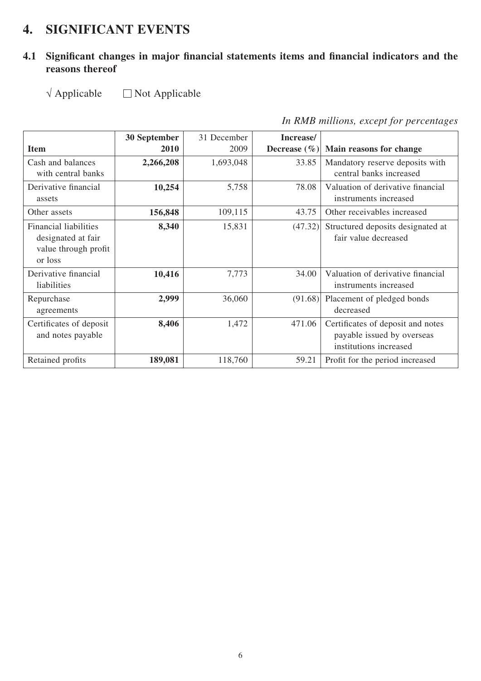## **4. SIGNIFICANT EVENTS**

### 4.1 Significant changes in major financial statements items and financial indicators and the **reasons thereof**

 $\sqrt{\text{Applied}}$   $\Box$  Not Applicable

*In RMB millions, except for percentages*

|                              | 30 September | 31 December | Increase/        |                                   |
|------------------------------|--------------|-------------|------------------|-----------------------------------|
| <b>Item</b>                  | <b>2010</b>  | 2009        | Decrease $(\% )$ | Main reasons for change           |
| Cash and balances            | 2,266,208    | 1,693,048   | 33.85            | Mandatory reserve deposits with   |
| with central banks           |              |             |                  | central banks increased           |
| Derivative financial         | 10,254       | 5,758       | 78.08            | Valuation of derivative financial |
| assets                       |              |             |                  | instruments increased             |
| Other assets                 | 156,848      | 109,115     | 43.75            | Other receivables increased       |
| <b>Financial liabilities</b> | 8,340        | 15,831      | (47.32)          | Structured deposits designated at |
| designated at fair           |              |             |                  | fair value decreased              |
| value through profit         |              |             |                  |                                   |
| or loss                      |              |             |                  |                                   |
| Derivative financial         | 10,416       | 7,773       | 34.00            | Valuation of derivative financial |
| liabilities                  |              |             |                  | instruments increased             |
| Repurchase                   | 2,999        | 36,060      | (91.68)          | Placement of pledged bonds        |
| agreements                   |              |             |                  | decreased                         |
| Certificates of deposit      | 8,406        | 1,472       | 471.06           | Certificates of deposit and notes |
| and notes payable            |              |             |                  | payable issued by overseas        |
|                              |              |             |                  | institutions increased            |
| Retained profits             | 189,081      | 118,760     | 59.21            | Profit for the period increased   |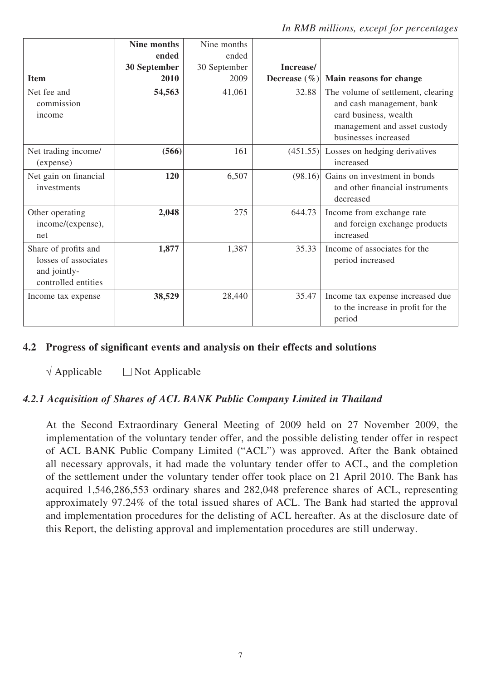|                                                                                     | <b>Nine months</b> | Nine months  |                  |                                                                                                                                                  |
|-------------------------------------------------------------------------------------|--------------------|--------------|------------------|--------------------------------------------------------------------------------------------------------------------------------------------------|
|                                                                                     | ended              | ended        |                  |                                                                                                                                                  |
|                                                                                     | 30 September       | 30 September | Increase/        |                                                                                                                                                  |
| <b>Item</b>                                                                         | 2010               | 2009         | Decrease $(\% )$ | Main reasons for change                                                                                                                          |
| Net fee and<br>commission<br>income                                                 | 54,563             | 41,061       | 32.88            | The volume of settlement, clearing<br>and cash management, bank<br>card business, wealth<br>management and asset custody<br>businesses increased |
| Net trading income/<br>(expense)                                                    | (566)              | 161          | (451.55)         | Losses on hedging derivatives<br>increased                                                                                                       |
| Net gain on financial<br>investments                                                | <b>120</b>         | 6,507        | (98.16)          | Gains on investment in bonds<br>and other financial instruments<br>decreased                                                                     |
| Other operating<br>income/(expense),<br>net                                         | 2,048              | 275          | 644.73           | Income from exchange rate<br>and foreign exchange products<br>increased                                                                          |
| Share of profits and<br>losses of associates<br>and jointly-<br>controlled entities | 1,877              | 1,387        | 35.33            | Income of associates for the<br>period increased                                                                                                 |
| Income tax expense                                                                  | 38,529             | 28,440       | 35.47            | Income tax expense increased due<br>to the increase in profit for the<br>period                                                                  |

#### **4.2 Progress of significant events and analysis on their effects and solutions**

 $\sqrt{\text{Applicable}}$  Not Applicable

#### *4.2.1 Acquisition of Shares of ACL BANK Public Company Limited in Thailand*

At the Second Extraordinary General Meeting of 2009 held on 27 November 2009, the implementation of the voluntary tender offer, and the possible delisting tender offer in respect of ACL BANK Public Company Limited ("ACL") was approved. After the Bank obtained all necessary approvals, it had made the voluntary tender offer to ACL, and the completion of the settlement under the voluntary tender offer took place on 21 April 2010. The Bank has acquired 1,546,286,553 ordinary shares and 282,048 preference shares of ACL, representing approximately 97.24% of the total issued shares of ACL. The Bank had started the approval and implementation procedures for the delisting of ACL hereafter. As at the disclosure date of this Report, the delisting approval and implementation procedures are still underway.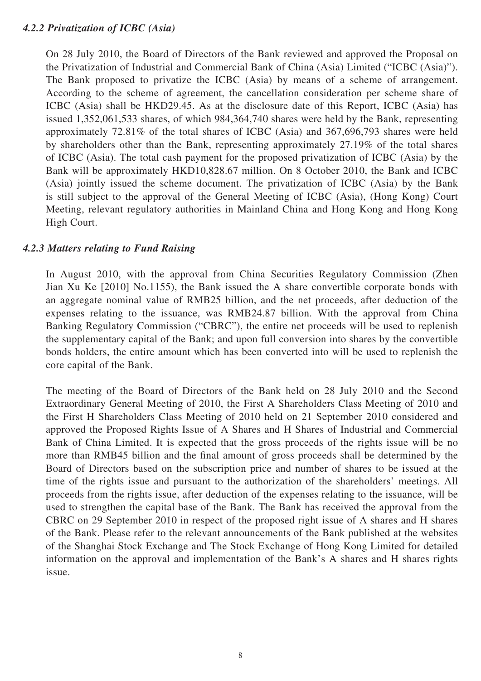#### *4.2.2 Privatization of ICBC (Asia)*

On 28 July 2010, the Board of Directors of the Bank reviewed and approved the Proposal on the Privatization of Industrial and Commercial Bank of China (Asia) Limited ("ICBC (Asia)"). The Bank proposed to privatize the ICBC (Asia) by means of a scheme of arrangement. According to the scheme of agreement, the cancellation consideration per scheme share of ICBC (Asia) shall be HKD29.45. As at the disclosure date of this Report, ICBC (Asia) has issued 1,352,061,533 shares, of which 984,364,740 shares were held by the Bank, representing approximately 72.81% of the total shares of ICBC (Asia) and 367,696,793 shares were held by shareholders other than the Bank, representing approximately 27.19% of the total shares of ICBC (Asia). The total cash payment for the proposed privatization of ICBC (Asia) by the Bank will be approximately HKD10,828.67 million. On 8 October 2010, the Bank and ICBC (Asia) jointly issued the scheme document. The privatization of ICBC (Asia) by the Bank is still subject to the approval of the General Meeting of ICBC (Asia), (Hong Kong) Court Meeting, relevant regulatory authorities in Mainland China and Hong Kong and Hong Kong High Court.

#### *4.2.3 Matters relating to Fund Raising*

In August 2010, with the approval from China Securities Regulatory Commission (Zhen Jian Xu Ke [2010] No.1155), the Bank issued the A share convertible corporate bonds with an aggregate nominal value of RMB25 billion, and the net proceeds, after deduction of the expenses relating to the issuance, was RMB24.87 billion. With the approval from China Banking Regulatory Commission ("CBRC"), the entire net proceeds will be used to replenish the supplementary capital of the Bank; and upon full conversion into shares by the convertible bonds holders, the entire amount which has been converted into will be used to replenish the core capital of the Bank.

The meeting of the Board of Directors of the Bank held on 28 July 2010 and the Second Extraordinary General Meeting of 2010, the First A Shareholders Class Meeting of 2010 and the First H Shareholders Class Meeting of 2010 held on 21 September 2010 considered and approved the Proposed Rights Issue of A Shares and H Shares of Industrial and Commercial Bank of China Limited. It is expected that the gross proceeds of the rights issue will be no more than RMB45 billion and the final amount of gross proceeds shall be determined by the Board of Directors based on the subscription price and number of shares to be issued at the time of the rights issue and pursuant to the authorization of the shareholders' meetings. All proceeds from the rights issue, after deduction of the expenses relating to the issuance, will be used to strengthen the capital base of the Bank. The Bank has received the approval from the CBRC on 29 September 2010 in respect of the proposed right issue of A shares and H shares of the Bank. Please refer to the relevant announcements of the Bank published at the websites of the Shanghai Stock Exchange and The Stock Exchange of Hong Kong Limited for detailed information on the approval and implementation of the Bank's A shares and H shares rights issue.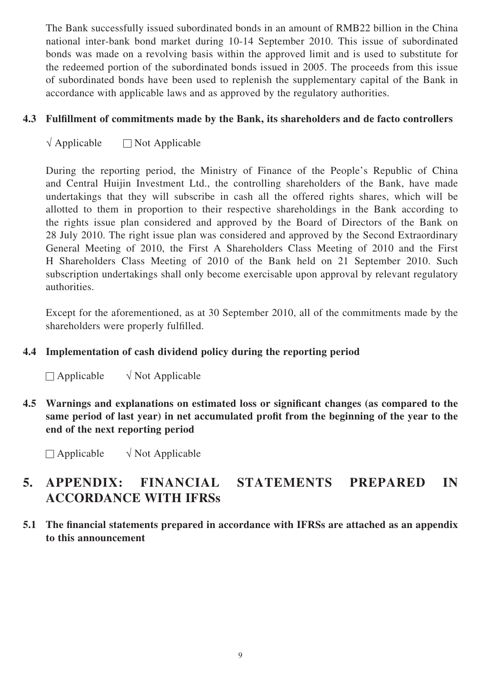The Bank successfully issued subordinated bonds in an amount of RMB22 billion in the China national inter-bank bond market during 10-14 September 2010. This issue of subordinated bonds was made on a revolving basis within the approved limit and is used to substitute for the redeemed portion of the subordinated bonds issued in 2005. The proceeds from this issue of subordinated bonds have been used to replenish the supplementary capital of the Bank in accordance with applicable laws and as approved by the regulatory authorities.

#### **4.3 Fulfillment of commitments made by the Bank, its shareholders and de facto controllers**

 $\sqrt{\text{Applicable}}$  Not Applicable

During the reporting period, the Ministry of Finance of the People's Republic of China and Central Huijin Investment Ltd., the controlling shareholders of the Bank, have made undertakings that they will subscribe in cash all the offered rights shares, which will be allotted to them in proportion to their respective shareholdings in the Bank according to the rights issue plan considered and approved by the Board of Directors of the Bank on 28 July 2010. The right issue plan was considered and approved by the Second Extraordinary General Meeting of 2010, the First A Shareholders Class Meeting of 2010 and the First H Shareholders Class Meeting of 2010 of the Bank held on 21 September 2010. Such subscription undertakings shall only become exercisable upon approval by relevant regulatory authorities.

Except for the aforementioned, as at 30 September 2010, all of the commitments made by the shareholders were properly fulfilled.

#### **4.4 Implementation of cash dividend policy during the reporting period**

 $\Box$  Applicable  $\lor$  Not Applicable

**4.5 Warnings and explanations on estimated loss or significant changes (as compared to the** same period of last year) in net accumulated profit from the beginning of the year to the **end of the next reporting period**

Applicable √ Not Applicable

## **5. APPENDIX: FINANCIAL STATEMENTS PREPARED IN ACCORDANCE WITH IFRSs**

**5.1 The financial statements prepared in accordance with IFRSs are attached as an appendix to this announcement**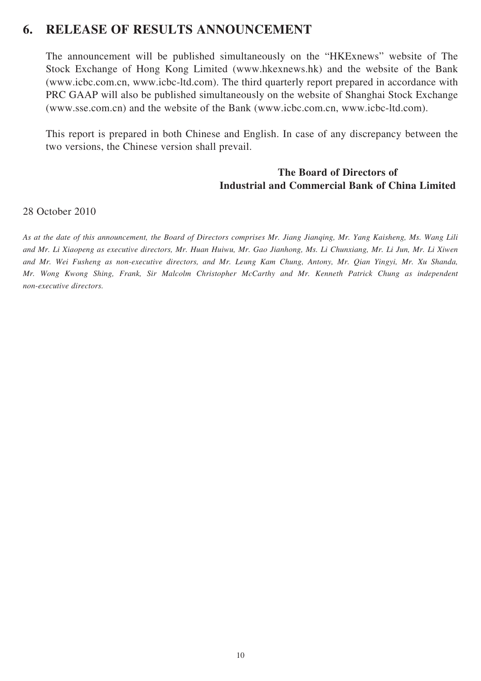### **6. RELEASE OF RESULTS ANNOUNCEMENT**

The announcement will be published simultaneously on the "HKExnews" website of The Stock Exchange of Hong Kong Limited (www.hkexnews.hk) and the website of the Bank (www.icbc.com.cn, www.icbc-ltd.com). The third quarterly report prepared in accordance with PRC GAAP will also be published simultaneously on the website of Shanghai Stock Exchange (www.sse.com.cn) and the website of the Bank (www.icbc.com.cn, www.icbc-ltd.com).

This report is prepared in both Chinese and English. In case of any discrepancy between the two versions, the Chinese version shall prevail.

#### **The Board of Directors of Industrial and Commercial Bank of China Limited**

28 October 2010

*As at the date of this announcement, the Board of Directors comprises Mr. Jiang Jianqing, Mr. Yang Kaisheng, Ms. Wang Lili and Mr. Li Xiaopeng as executive directors, Mr. Huan Huiwu, Mr. Gao Jianhong, Ms. Li Chunxiang, Mr. Li Jun, Mr. Li Xiwen and Mr. Wei Fusheng as non-executive directors, and Mr. Leung Kam Chung, Antony, Mr. Qian Yingyi, Mr. Xu Shanda, Mr. Wong Kwong Shing, Frank, Sir Malcolm Christopher McCarthy and Mr. Kenneth Patrick Chung as independent non-executive directors.*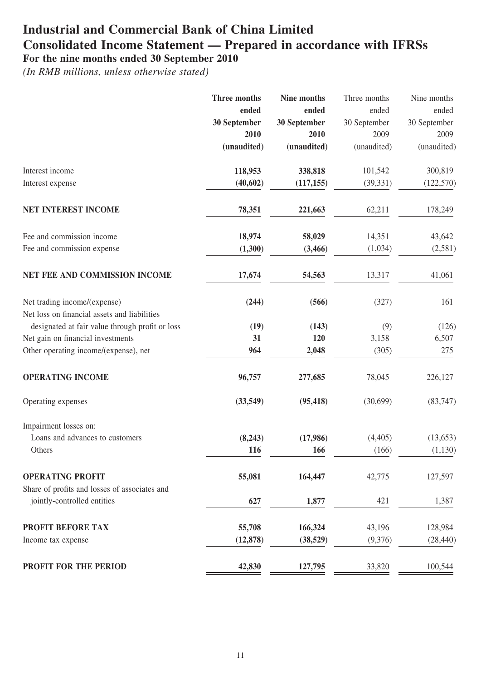### **Industrial and Commercial Bank of China Limited Consolidated Income Statement — Prepared in accordance with IFRSs For the nine months ended 30 September 2010**

|                                                                              | Three months | Nine months  | Three months | Nine months  |              |
|------------------------------------------------------------------------------|--------------|--------------|--------------|--------------|--------------|
|                                                                              | ended        | ended        | ended        | ended        |              |
|                                                                              |              | 30 September |              | 30 September | 30 September |
|                                                                              | 2010         | 2010         | 2009         | 2009         |              |
|                                                                              | (unaudited)  | (unaudited)  | (unaudited)  | (unaudited)  |              |
| Interest income                                                              | 118,953      | 338,818      | 101,542      | 300,819      |              |
| Interest expense                                                             | (40, 602)    | (117, 155)   | (39, 331)    | (122, 570)   |              |
| <b>NET INTEREST INCOME</b>                                                   | 78,351       | 221,663      | 62,211       | 178,249      |              |
| Fee and commission income                                                    | 18,974       | 58,029       | 14,351       | 43,642       |              |
| Fee and commission expense                                                   | (1,300)      | (3,466)      | (1,034)      | (2,581)      |              |
| NET FEE AND COMMISSION INCOME                                                | 17,674       | 54,563       | 13,317       | 41,061       |              |
| Net trading income/(expense)<br>Net loss on financial assets and liabilities | (244)        | (566)        | (327)        | 161          |              |
| designated at fair value through profit or loss                              | (19)         | (143)        | (9)          | (126)        |              |
| Net gain on financial investments                                            | 31           | 120          | 3,158        | 6,507        |              |
| Other operating income/(expense), net                                        | 964          | 2,048        | (305)        | 275          |              |
| <b>OPERATING INCOME</b>                                                      | 96,757       | 277,685      | 78,045       | 226,127      |              |
| Operating expenses                                                           | (33,549)     | (95, 418)    | (30,699)     | (83,747)     |              |
| Impairment losses on:                                                        |              |              |              |              |              |
| Loans and advances to customers                                              | (8,243)      | (17,986)     | (4,405)      | (13, 653)    |              |
| Others                                                                       | 116          | 166          | (166)        | (1, 130)     |              |
| <b>OPERATING PROFIT</b><br>Share of profits and losses of associates and     | 55,081       | 164,447      | 42,775       | 127,597      |              |
| jointly-controlled entities                                                  | 627          | 1,877        | 421          | 1,387        |              |
| PROFIT BEFORE TAX                                                            | 55,708       | 166,324      | 43,196       | 128,984      |              |
| Income tax expense                                                           | (12, 878)    | (38, 529)    | (9,376)      | (28, 440)    |              |
| PROFIT FOR THE PERIOD                                                        | 42,830       | 127,795      | 33,820       | 100,544      |              |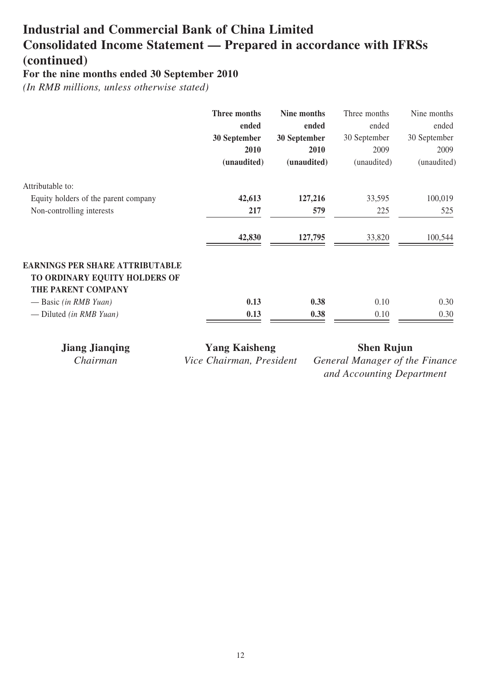## **Industrial and Commercial Bank of China Limited Consolidated Income Statement — Prepared in accordance with IFRSs (continued)**

**For the nine months ended 30 September 2010**

*(In RMB millions, unless otherwise stated)*

|                                        | Three months | Nine months  | Three months | Nine months  |
|----------------------------------------|--------------|--------------|--------------|--------------|
|                                        | ended        | ended        | ended        | ended        |
|                                        | 30 September | 30 September | 30 September | 30 September |
|                                        | 2010         | 2010         | 2009         | 2009         |
|                                        | (unaudited)  | (unaudited)  | (unaudited)  | (unaudited)  |
| Attributable to:                       |              |              |              |              |
| Equity holders of the parent company   | 42,613       | 127,216      | 33,595       | 100,019      |
| Non-controlling interests              | 217          | 579          | 225          | 525          |
|                                        | 42,830       | 127,795      | 33,820       | 100,544      |
| <b>EARNINGS PER SHARE ATTRIBUTABLE</b> |              |              |              |              |
| TO ORDINARY EQUITY HOLDERS OF          |              |              |              |              |
| THE PARENT COMPANY                     |              |              |              |              |
| — Basic (in RMB Yuan)                  | 0.13         | 0.38         | 0.10         | 0.30         |
| — Diluted <i>(in RMB Yuan)</i>         | 0.13         | 0.38         | 0.10         | 0.30         |
|                                        |              |              |              |              |

| <b>Jiang Jianqing</b> |  |
|-----------------------|--|
| Chairman              |  |

**Jiang Kaisheng Shen Rujun** 

*Chairman Vice Chairman, President General Manager of the Finance and Accounting Department*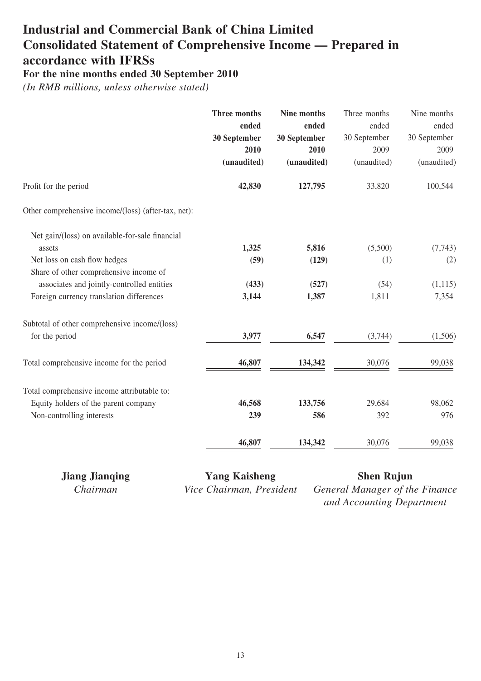# **Industrial and Commercial Bank of China Limited Consolidated Statement of Comprehensive Income — Prepared in accordance with IFRSs**

**For the nine months ended 30 September 2010**

*(In RMB millions, unless otherwise stated)*

|                                                     | Three months<br>ended | <b>Nine months</b> | Three months | Nine months  |
|-----------------------------------------------------|-----------------------|--------------------|--------------|--------------|
|                                                     |                       | ended              | ended        | ended        |
|                                                     | 30 September          | 30 September       | 30 September | 30 September |
|                                                     | 2010                  | 2010               | 2009         | 2009         |
|                                                     | (unaudited)           | (unaudited)        | (unaudited)  | (unaudited)  |
| Profit for the period                               | 42,830                | 127,795            | 33,820       | 100,544      |
| Other comprehensive income/(loss) (after-tax, net): |                       |                    |              |              |
| Net gain/(loss) on available-for-sale financial     |                       |                    |              |              |
| assets                                              | 1,325                 | 5,816              | (5,500)      | (7, 743)     |
| Net loss on cash flow hedges                        | (59)                  | (129)              | (1)          | (2)          |
| Share of other comprehensive income of              |                       |                    |              |              |
| associates and jointly-controlled entities          | (433)                 | (527)              | (54)         | (1, 115)     |
| Foreign currency translation differences            | 3,144                 | 1,387              | 1,811        | 7,354        |
| Subtotal of other comprehensive income/(loss)       |                       |                    |              |              |
| for the period                                      | 3,977                 | 6,547              | (3,744)      | (1,506)      |
| Total comprehensive income for the period           | 46,807                | 134,342            | 30,076       | 99,038       |
| Total comprehensive income attributable to:         |                       |                    |              |              |
| Equity holders of the parent company                | 46,568                | 133,756            | 29,684       | 98,062       |
| Non-controlling interests                           | 239                   | 586                | 392          | 976          |
|                                                     | 46,807                | 134,342            | 30,076       | 99,038       |
|                                                     |                       |                    |              |              |

**Jiang Jianqing Yang Kaisheng Shen Rujun**

*Chairman Vice Chairman, President General Manager of the Finance and Accounting Department*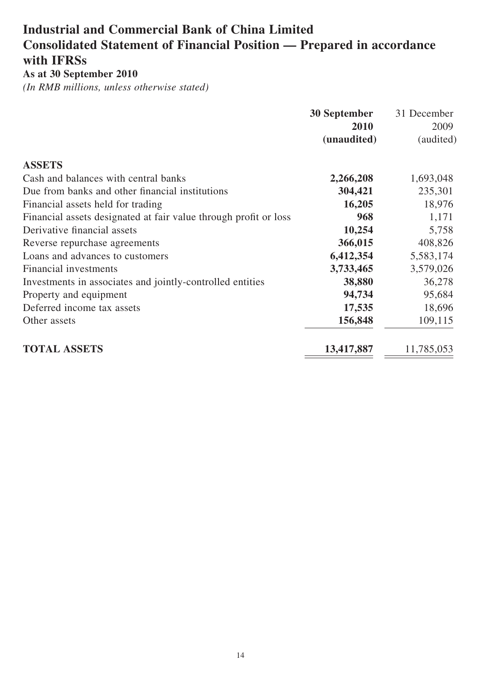## **Industrial and Commercial Bank of China Limited Consolidated Statement of Financial Position — Prepared in accordance with IFRSs**

**As at 30 September 2010**

|                                                                  | <b>30 September</b> | 31 December |
|------------------------------------------------------------------|---------------------|-------------|
|                                                                  | 2010                | 2009        |
|                                                                  | (unaudited)         | (audited)   |
| <b>ASSETS</b>                                                    |                     |             |
| Cash and balances with central banks                             | 2,266,208           | 1,693,048   |
| Due from banks and other financial institutions                  | 304,421             | 235,301     |
| Financial assets held for trading                                | 16,205              | 18,976      |
| Financial assets designated at fair value through profit or loss | 968                 | 1,171       |
| Derivative financial assets                                      | 10,254              | 5,758       |
| Reverse repurchase agreements                                    | 366,015             | 408,826     |
| Loans and advances to customers                                  | 6,412,354           | 5,583,174   |
| Financial investments                                            | 3,733,465           | 3,579,026   |
| Investments in associates and jointly-controlled entities        | 38,880              | 36,278      |
| Property and equipment                                           | 94,734              | 95,684      |
| Deferred income tax assets                                       | 17,535              | 18,696      |
| Other assets                                                     | 156,848             | 109,115     |
| <b>TOTAL ASSETS</b>                                              | 13,417,887          | 11,785,053  |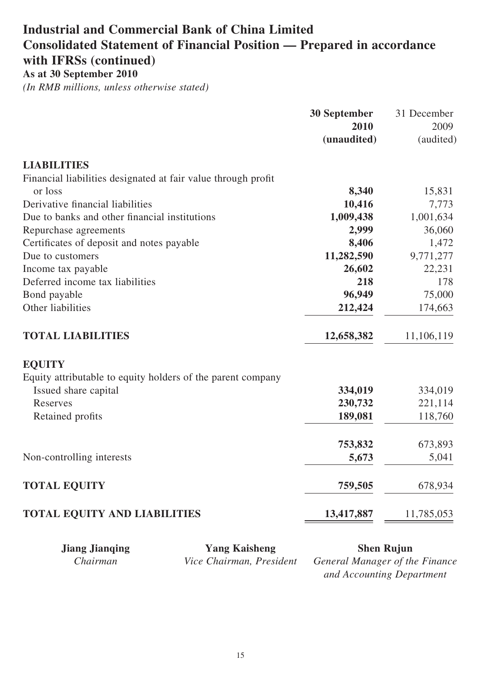## **Industrial and Commercial Bank of China Limited Consolidated Statement of Financial Position — Prepared in accordance with IFRSs (continued)**

**As at 30 September 2010**

|                                                               | <b>30 September</b> | 31 December |
|---------------------------------------------------------------|---------------------|-------------|
|                                                               | 2010                | 2009        |
|                                                               | (unaudited)         | (audited)   |
| <b>LIABILITIES</b>                                            |                     |             |
| Financial liabilities designated at fair value through profit |                     |             |
| or loss                                                       | 8,340               | 15,831      |
| Derivative financial liabilities                              | 10,416              | 7,773       |
| Due to banks and other financial institutions                 | 1,009,438           | 1,001,634   |
| Repurchase agreements                                         | 2,999               | 36,060      |
| Certificates of deposit and notes payable                     | 8,406               | 1,472       |
| Due to customers                                              | 11,282,590          | 9,771,277   |
| Income tax payable                                            | 26,602              | 22,231      |
| Deferred income tax liabilities                               | 218                 | 178         |
| Bond payable                                                  | 96,949              | 75,000      |
| Other liabilities                                             | 212,424             | 174,663     |
| <b>TOTAL LIABILITIES</b>                                      | 12,658,382          | 11,106,119  |
| <b>EQUITY</b>                                                 |                     |             |
| Equity attributable to equity holders of the parent company   |                     |             |
| Issued share capital                                          | 334,019             | 334,019     |
| Reserves                                                      | 230,732             | 221,114     |
| Retained profits                                              | 189,081             | 118,760     |
|                                                               | 753,832             | 673,893     |
| Non-controlling interests                                     | 5,673               | 5,041       |
| <b>TOTAL EQUITY</b>                                           | 759,505             | 678,934     |
| <b>TOTAL EQUITY AND LIABILITIES</b>                           | 13,417,887          | 11,785,053  |

| <b>Jiang Jianging</b> | <b>Yang Kaisheng</b>     | <b>Shen Rujun</b>              |
|-----------------------|--------------------------|--------------------------------|
| Chairman              | Vice Chairman, President | General Manager of the Finance |
|                       |                          | and Accounting Department      |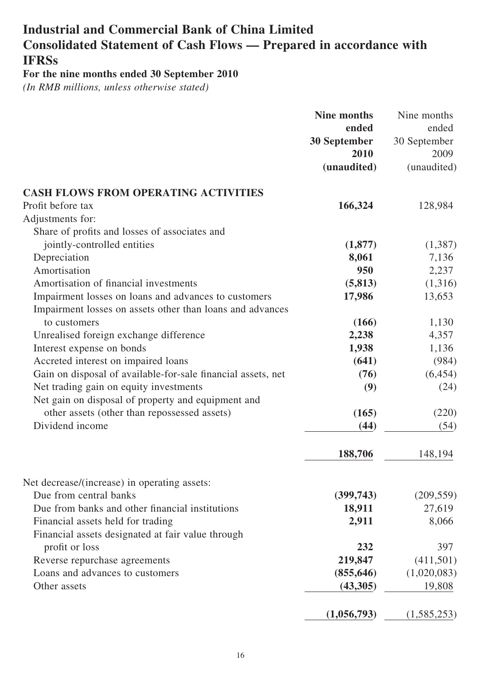## **Industrial and Commercial Bank of China Limited Consolidated Statement of Cash Flows — Prepared in accordance with IFRSs**

**For the nine months ended 30 September 2010**

|                                                              | <b>Nine months</b> | Nine months  |
|--------------------------------------------------------------|--------------------|--------------|
|                                                              | ended              | ended        |
|                                                              | 30 September       | 30 September |
|                                                              | 2010               | 2009         |
|                                                              | (unaudited)        | (unaudited)  |
| <b>CASH FLOWS FROM OPERATING ACTIVITIES</b>                  |                    |              |
| Profit before tax                                            | 166,324            | 128,984      |
| Adjustments for:                                             |                    |              |
| Share of profits and losses of associates and                |                    |              |
| jointly-controlled entities                                  | (1, 877)           | (1,387)      |
| Depreciation                                                 | 8,061              | 7,136        |
| Amortisation                                                 | 950                | 2,237        |
| Amortisation of financial investments                        | (5, 813)           | (1,316)      |
| Impairment losses on loans and advances to customers         | 17,986             | 13,653       |
| Impairment losses on assets other than loans and advances    |                    |              |
| to customers                                                 | (166)              | 1,130        |
| Unrealised foreign exchange difference                       | 2,238              | 4,357        |
| Interest expense on bonds                                    | 1,938              | 1,136        |
| Accreted interest on impaired loans                          | (641)              | (984)        |
| Gain on disposal of available-for-sale financial assets, net | (76)               | (6, 454)     |
| Net trading gain on equity investments                       | (9)                | (24)         |
| Net gain on disposal of property and equipment and           |                    |              |
| other assets (other than repossessed assets)                 | (165)              | (220)        |
| Dividend income                                              | (44)               | (54)         |
|                                                              | 188,706            | 148,194      |
| Net decrease/(increase) in operating assets:                 |                    |              |
| Due from central banks                                       | (399, 743)         | (209, 559)   |
| Due from banks and other financial institutions              | 18,911             | 27,619       |
| Financial assets held for trading                            | 2,911              | 8,066        |
| Financial assets designated at fair value through            |                    |              |
| profit or loss                                               | 232                | 397          |
| Reverse repurchase agreements                                | 219,847            | (411,501)    |
| Loans and advances to customers                              | (855, 646)         | (1,020,083)  |
| Other assets                                                 | (43,305)           | 19,808       |
|                                                              | (1,056,793)        | (1,585,253)  |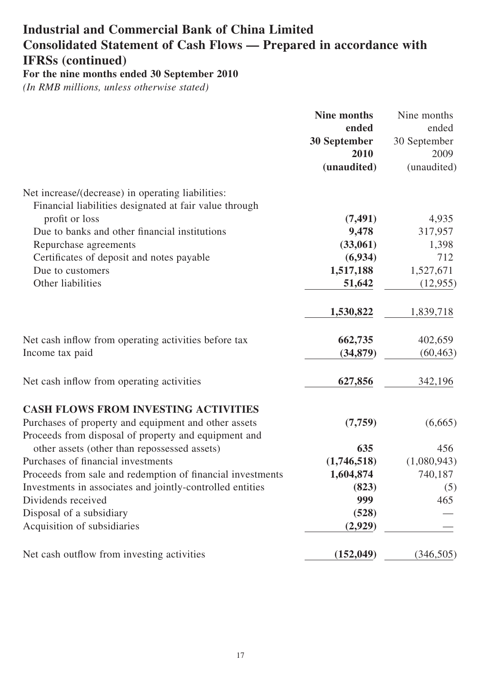# **Industrial and Commercial Bank of China Limited Consolidated Statement of Cash Flows — Prepared in accordance with IFRSs (continued)**

**For the nine months ended 30 September 2010**

|                                                            | <b>Nine months</b>  | Nine months  |
|------------------------------------------------------------|---------------------|--------------|
|                                                            | ended               | ended        |
|                                                            | <b>30 September</b> | 30 September |
|                                                            | 2010                | 2009         |
|                                                            | (unaudited)         | (unaudited)  |
| Net increase/(decrease) in operating liabilities:          |                     |              |
| Financial liabilities designated at fair value through     |                     |              |
| profit or loss                                             | (7, 491)            | 4,935        |
| Due to banks and other financial institutions              | 9,478               | 317,957      |
| Repurchase agreements                                      | (33,061)            | 1,398        |
| Certificates of deposit and notes payable                  | (6,934)             | 712          |
| Due to customers                                           | 1,517,188           | 1,527,671    |
| Other liabilities                                          | 51,642              | (12,955)     |
|                                                            | 1,530,822           | 1,839,718    |
| Net cash inflow from operating activities before tax       | 662,735             | 402,659      |
| Income tax paid                                            | (34, 879)           | (60, 463)    |
| Net cash inflow from operating activities                  | 627,856             | 342,196      |
| <b>CASH FLOWS FROM INVESTING ACTIVITIES</b>                |                     |              |
| Purchases of property and equipment and other assets       | (7,759)             | (6,665)      |
| Proceeds from disposal of property and equipment and       |                     |              |
| other assets (other than repossessed assets)               | 635                 | 456          |
| Purchases of financial investments                         | (1,746,518)         | (1,080,943)  |
| Proceeds from sale and redemption of financial investments | 1,604,874           | 740,187      |
| Investments in associates and jointly-controlled entities  | (823)               | (5)          |
| Dividends received                                         | 999                 | 465          |
| Disposal of a subsidiary                                   | (528)               |              |
| Acquisition of subsidiaries                                | (2,929)             |              |
| Net cash outflow from investing activities                 | (152, 049)          | (346,505)    |